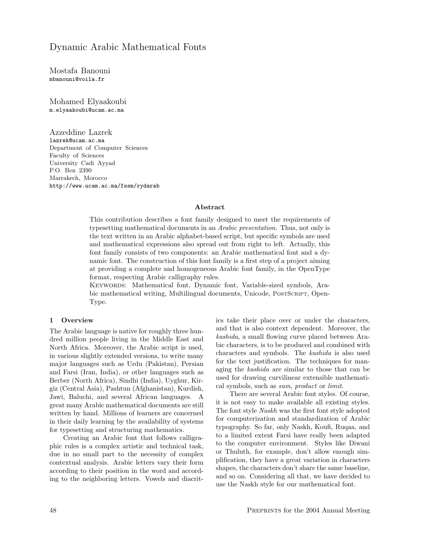# Dynamic Arabic Mathematical Fonts

Mostafa Banouni mbanouni@voila.fr

Mohamed Elyaakoubi m.elyaakoubi@ucam.ac.ma

Azzeddine Lazrek lazrek@ucam.ac.ma Department of Computer Sciences Faculty of Sciences University Cadi Ayyad P.O. Box 2390 Marrakech, Morocco http://www.ucam.ac.ma/fssm/rydarab

#### Abstract

This contribution describes a font family designed to meet the requirements of typesetting mathematical documents in an Arabic presentation. Thus, not only is the text written in an Arabic alphabet-based script, but specific symbols are used and mathematical expressions also spread out from right to left. Actually, this font family consists of two components: an Arabic mathematical font and a dynamic font. The construction of this font family is a first step of a project aiming at providing a complete and homogeneous Arabic font family, in the OpenType format, respecting Arabic calligraphy rules.

KEYWORDS: Mathematical font, Dynamic font, Variable-sized symbols, Arabic mathematical writing, Multilingual documents, Unicode, PostScript, Open-Type.

#### 1 Overview

The Arabic language is native for roughly three hundred million people living in the Middle East and North Africa. Moreover, the Arabic script is used, in various slightly extended versions, to write many major languages such as Urdu (Pakistan), Persian and Farsi (Iran, India), or other languages such as Berber (North Africa), Sindhi (India), Uyghur, Kirgiz (Central Asia), Pashtun (Afghanistan), Kurdish, Jawi, Baluchi, and several African languages. A great many Arabic mathematical documents are still written by hand. Millions of learners are concerned in their daily learning by the availability of systems for typesetting and structuring mathematics.

Creating an Arabic font that follows calligraphic rules is a complex artistic and technical task, due in no small part to the necessity of complex contextual analysis. Arabic letters vary their form according to their position in the word and according to the neighboring letters. Vowels and diacritics take their place over or under the characters, and that is also context dependent. Moreover, the kashida, a small flowing curve placed between Arabic characters, is to be produced and combined with characters and symbols. The kashida is also used for the text justification. The techniques for managing the kashida are similar to those that can be used for drawing curvilinear extensible mathematical symbols, such as sum, product or limit.

There are several Arabic font styles. Of course, it is not easy to make available all existing styles. The font style Naskh was the first font style adopted for computerization and standardization of Arabic typography. So far, only Naskh, Koufi, Ruqaa, and to a limited extent Farsi have really been adapted to the computer environment. Styles like Diwani or Thuluth, for example, don't allow enough simplification, they have a great variation in characters shapes, the characters don't share the same baseline, and so on. Considering all that, we have decided to use the Naskh style for our mathematical font.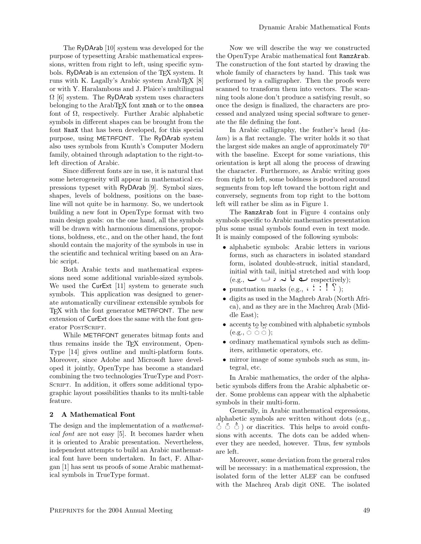The RyDArab [10] system was developed for the purpose of typesetting Arabic mathematical expressions, written from right to left, using specific symbols. RyDArab is an extension of the T<sub>EX</sub> system. It runs with K. Lagally's Arabic system Arab $T_{\rm F}$ X [8] or with Y. Haralambous and J. Plaice's multilingual  $\Omega$  [6] system. The RyDArab system uses characters belonging to the ArabTEX font xnsh or to the omsea font of  $\Omega$ , respectively. Further Arabic alphabetic symbols in different shapes can be brought from the font NasX that has been developed, for this special purpose, using METAFONT. The RyDArab system also uses symbols from Knuth's Computer Modern family, obtained through adaptation to the right-toleft direction of Arabic.

Since different fonts are in use, it is natural that some heterogeneity will appear in mathematical expressions typeset with RyDArab [9]. Symbol sizes, shapes, levels of boldness, positions on the baseline will not quite be in harmony. So, we undertook building a new font in OpenType format with two main design goals: on the one hand, all the symbols will be drawn with harmonious dimensions, proportions, boldness, etc., and on the other hand, the font should contain the majority of the symbols in use in the scientific and technical writing based on an Arabic script.

Both Arabic texts and mathematical expressions need some additional variable-sized symbols. We used the CurExt [11] system to generate such symbols. This application was designed to generate automatically curvilinear extensible symbols for TEX with the font generator METAFONT. The new extension of CurExt does the same with the font generator POSTSCRIPT.

While METAFONT generates bitmap fonts and thus remains inside the T<sub>E</sub>X environment, Open-Type [14] gives outline and multi-platform fonts. Moreover, since Adobe and Microsoft have developed it jointly, OpenType has become a standard combining the two technologies TrueType and Post-SCRIPT. In addition, it offers some additional typographic layout possibilities thanks to its multi-table feature.

#### 2 A Mathematical Font

The design and the implementation of a mathematical font are not easy [5]. It becomes harder when it is oriented to Arabic presentation. Nevertheless, independent attempts to build an Arabic mathematical font have been undertaken. In fact, F. Alhargan [1] has sent us proofs of some Arabic mathematical symbols in TrueType format.

Now we will describe the way we constructed the OpenType Arabic mathematical font RamzArab. The construction of the font started by drawing the whole family of characters by hand. This task was performed by a calligrapher. Then the proofs were scanned to transform them into vectors. The scanning tools alone don't produce a satisfying result, so once the design is finalized, the characters are processed and analyzed using special software to generate the file defining the font.

In Arabic calligraphy, the feather's head (kalam) is a flat rectangle. The writer holds it so that the largest side makes an angle of approximately 70◦ with the baseline. Except for some variations, this orientation is kept all along the process of drawing the character. Furthermore, as Arabic writing goes from right to left, some boldness is produced around segments from top left toward the bottom right and conversely, segments from top right to the bottom left will rather be slim as in Figure 1.

The RamzArab font in Figure 4 contains only symbols specific to Arabic mathematics presentation plus some usual symbols found even in text mode. It is mainly composed of the following symbols:

- alphabetic symbols: Arabic letters in various forms, such as characters in isolated standard form, isolated double-struck, initial standard, initial with tail, initial stretched and with loop  $(e.g., \cup \cup \cup \infty$  respectively);
- punctuation marks (e.g.,  $\epsilon$ : : : : ; ;
- digits as used in the Maghreb Arab (North Africa), and as they are in the Machreq Arab (Middle East);
- accents to be combined with alphabetic symbols  $(e.g., \bigcirc \circ \circ \bigcirc);$
- ordinary mathematical symbols such as delimiters, arithmetic operators, etc.
- mirror image of some symbols such as sum, integral, etc.

In Arabic mathematics, the order of the alphabetic symbols differs from the Arabic alphabetic order. Some problems can appear with the alphabetic symbols in their multi-form.

Generally, in Arabic mathematical expressions, alphabetic symbols are written without dots (e.g.,  $\circ$   $\circ$   $\circ$   $\circ$  or diacritics. This helps to avoid confusions with accents. The dots can be added whenever they are needed, however. Thus, few symbols are left.

Moreover, some deviation from the general rules will be necessary: in a mathematical expression, the isolated form of the letter ALEF can be confused with the Machreq Arab digit ONE. The isolated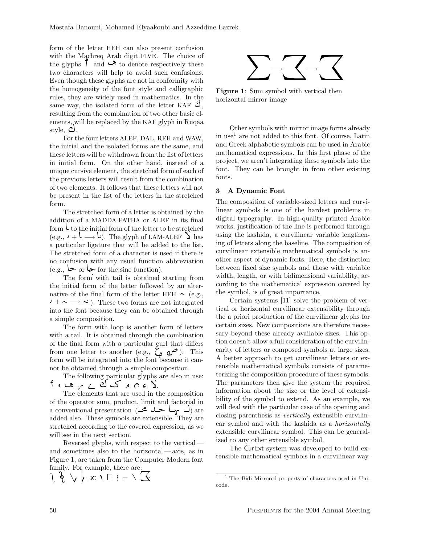form of the letter HEH can also present confusion with the Machreq Arab digit FIVE. The choice of the glyphs  $\uparrow$  and  $\uparrow$  to denote respectively these two characters will help to avoid such confusions. Even though these glyphs are not in conformity with the homogeneity of the font style and calligraphic rules, they are widely used in mathematics. In the same way, the isolated form of the letter KAF  $\mathcal{L},$ resulting from the combination of two other basic elements, will be replaced by the KAF glyph in Ruqaa  $_{\rm style},\,$  లి.

For the four letters ALEF, DAL, REH and WAW, the initial and the isolated forms are the same, and these letters will be withdrawn from the list of letters in initial form. On the other hand, instead of a unique cursive element, the stretched form of each of the previous letters will result from the combination of two elements. It follows that these letters will not be present in the list of the letters in the stretched form.

The stretched form of a letter is obtained by the addition of a MADDA-FATHA or ALEF in its final form  $\iota$  to the initial form of the letter to be stretched  $(e.g., \rightarrow \bot \rightarrow \cup)$ . The glyph of LAM-ALEF  $\lambda$  has a particular ligature that will be added to the list. The stretched form of a character is used if there is no confusion with any usual function abbreviation  $(e.g., \rightarrow or \rightarrow for the sine function).$ 

The form with tail is obtained starting from the initial form of the letter followed by an alternative of the final form of the letter HEH  $\sim$  (e.g.,  $\rightarrow + \rightarrow \rightarrow$   $\rightarrow$  ). These two forms are not integrated into the font because they can be obtained through a simple composition.

The form with loop is another form of letters with a tail. It is obtained through the combination of the final form with a particular curl that differs from one letter to another (e.g.,  $\zeta_0$   $\infty$ ). This form will be integrated into the font because it cannot be obtained through a simple composition.

The following particular glyphs are also in use:  $Z$  عم م ک اے ے م ها د  $Z$  .

The elements that are used in the composition of the operator sum, product, limit and factorial in a conventional presentation  $(\sim \rightarrow \rightarrow \rightarrow)$  are added also. These symbols are extensible. They are stretched according to the covered expression, as we will see in the next section.

Reversed glyphs, with respect to the vertical and sometimes also to the horizontal — axis, as in Figure 1, are taken from the Computer Modern font family. For example, there are:

 $1 \oint \sqrt{\nu} \propto I \; E \; I - \sum \vec{\Delta}$ 



Figure 1: Sum symbol with vertical then horizontal mirror image

Other symbols with mirror image forms already in use<sup>1</sup> are not added to this font. Of course, Latin and Greek alphabetic symbols can be used in Arabic mathematical expressions. In this first phase of the project, we aren't integrating these symbols into the font. They can be brought in from other existing fonts.

#### 3 A Dynamic Font

The composition of variable-sized letters and curvilinear symbols is one of the hardest problems in digital typography. In high-quality printed Arabic works, justification of the line is performed through using the kashida, a curvilinear variable lengthening of letters along the baseline. The composition of curvilinear extensible mathematical symbols is another aspect of dynamic fonts. Here, the distinction between fixed size symbols and those with variable width, length, or with bidimensional variability, according to the mathematical expression covered by the symbol, is of great importance.

Certain systems [11] solve the problem of vertical or horizontal curvilinear extensibility through the a priori production of the curvilinear glyphs for certain sizes. New compositions are therefore necessary beyond these already available sizes. This option doesn't allow a full consideration of the curvilinearity of letters or composed symbols at large sizes. A better approach to get curvilinear letters or extensible mathematical symbols consists of parameterizing the composition procedure of these symbols. The parameters then give the system the required information about the size or the level of extensibility of the symbol to extend. As an example, we will deal with the particular case of the opening and closing parenthesis as vertically extensible curvilinear symbol and with the kashida as a *horizontally* extensible curvilinear symbol. This can be generalized to any other extensible symbol.

The CurExt system was developed to build extensible mathematical symbols in a curvilinear way.

<sup>1</sup> The Bidi Mirrored property of characters used in Unicode.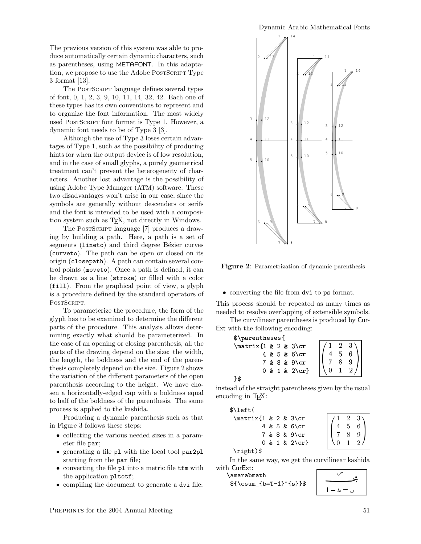The previous version of this system was able to produce automatically certain dynamic characters, such as parentheses, using METAFONT. In this adaptation, we propose to use the Adobe POSTSCRIPT Type 3 format [13].

The PostScript language defines several types of font, 0, 1, 2, 3, 9, 10, 11, 14, 32, 42. Each one of these types has its own conventions to represent and to organize the font information. The most widely used PostScript font format is Type 1. However, a dynamic font needs to be of Type 3 [3].

Although the use of Type 3 loses certain advantages of Type 1, such as the possibility of producing hints for when the output device is of low resolution, and in the case of small glyphs, a purely geometrical treatment can't prevent the heterogeneity of characters. Another lost advantage is the possibility of using Adobe Type Manager (ATM) software. These two disadvantages won't arise in our case, since the symbols are generally without descenders or serifs and the font is intended to be used with a composition system such as TEX, not directly in Windows.

The POSTSCRIPT language [7] produces a drawing by building a path. Here, a path is a set of segments (lineto) and third degree Bézier curves (curveto). The path can be open or closed on its origin (closepath). A path can contain several control points (moveto). Once a path is defined, it can be drawn as a line (stroke) or filled with a color (fill). From the graphical point of view, a glyph is a procedure defined by the standard operators of POSTSCRIPT.

To parameterize the procedure, the form of the glyph has to be examined to determine the different parts of the procedure. This analysis allows determining exactly what should be parameterized. In the case of an opening or closing parenthesis, all the parts of the drawing depend on the size: the width, the length, the boldness and the end of the parenthesis completely depend on the size. Figure 2 shows the variation of the different parameters of the open parenthesis according to the height. We have chosen a horizontally-edged cap with a boldness equal to half of the boldness of the parenthesis. The same process is applied to the kashida.

Producing a dynamic parenthesis such as that in Figure 3 follows these steps:

- collecting the various needed sizes in a parameter file par;
- generating a file pl with the local tool par2pl starting from the par file;
- converting the file pl into a metric file tfm with the application pltotf;
- compiling the document to generate a dvi file;



Figure 2: Parametrization of dynamic parenthesis

### • converting the file from dvi to ps format.

This process should be repeated as many times as needed to resolve overlapping of extensible symbols.

The curvilinear parentheses is produced by Cur-Ext with the following encoding:

| \$\parentheses{      |  |
|----------------------|--|
| \matrix{1 & 2 & 3\cr |  |
| $4 \& 5 \& 6\$ cr    |  |
| 7 & 8 & 9\cr         |  |
| $0 & 1 & 2 \cr 1$    |  |
|                      |  |

instead of the straight parentheses given by the usual encoding in TEX:

\$\left( \matrix{1 & 2 & 3\cr 4 & 5 & 6\cr 7 & 8 & 9\cr 0 & 1 & 2\cr}



\right)\$

In the same way, we get the curvilinear kashida with CurExt:


- -

and the contract of the contract of the contract of the contract of the contract of the contract of the contract of the contract of the contract of the contract of the contract of the contract of the contract of the contra

$$
T-1
$$
 $\uparrow$  {s}}  $\uparrow$  \$
$$
T-1
$$
 $\uparrow$  {s}}  $\uparrow$  \$
$$
T-1 = 0
$$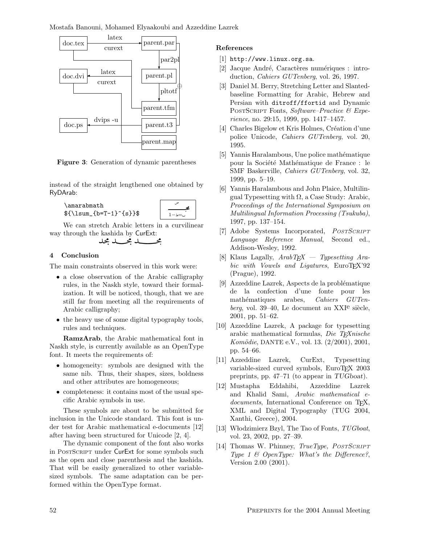Mostafa Banouni, Mohamed Elyaakoubi and Azzeddine Lazrek



Figure 3: Generation of dynamic parentheses

instead of the straight lengthened one obtained by RyDArab:

\amarabmath  $\{\lceil \text{b} = T-1\} \rceil$  {s}}\$



We can stretch Arabic letters in a curvilinear way through the kashida by CurExt:

- 

## 4 Conclusion

The main constraints observed in this work were:

- a close observation of the Arabic calligraphy rules, in the Naskh style, toward their formalization. It will be noticed, though, that we are still far from meeting all the requirements of Arabic calligraphy;
- the heavy use of some digital typography tools, rules and techniques.

RamzArab, the Arabic mathematical font in Naskh style, is currently available as an OpenType font. It meets the requirements of:

- homogeneity: symbols are designed with the same nib. Thus, their shapes, sizes, boldness and other attributes are homogeneous;
- completeness: it contains most of the usual specific Arabic symbols in use.

These symbols are about to be submitted for inclusion in the Unicode standard. This font is under test for Arabic mathematical e-documents [12] after having been structured for Unicode [2, 4].

The dynamic component of the font also works in PostScript under CurExt for some symbols such as the open and close parenthesis and the kashida. That will be easily generalized to other variablesized symbols. The same adaptation can be performed within the OpenType format.

### References

- [1] http://www.linux.org.sa.
- [2] Jacque André, Caractères numériques : introduction, Cahiers GUTenberg, vol. 26, 1997.
- [3] Daniel M. Berry, Stretching Letter and Slantedbaseline Formatting for Arabic, Hebrew and Persian with ditroff/ffortid and Dynamic POSTSCRIPT Fonts, Software–Practice & Experience, no. 29:15, 1999, pp. 1417–1457.
- [4] Charles Bigelow et Kris Holmes, Création d'une police Unicode, Cahiers GUTenberg, vol. 20, 1995.
- [5] Yannis Haralambous, Une police mathématique pour la Société Mathématique de France : le SMF Baskerville, Cahiers GUTenberg, vol. 32, 1999, pp. 5–19.
- [6] Yannis Haralambous and John Plaice, Multilingual Typesetting with  $\Omega$ , a Case Study: Arabic, Proceedings of the International Symposium on Multilingual Information Processing (Tsukuba), 1997, pp. 137–154.
- [7] Adobe Systems Incorporated, POSTSCRIPT Language Reference Manual, Second ed., Addison-Wesley, 1992.
- [8] Klaus Lagally,  $ArabTFX Typesetting\, Ara$ bic with Vowels and Ligatures, EuroTFX'92 (Prague), 1992.
- [9] Azzeddine Lazrek, Aspects de la problématique de la confection d'une fonte pour les mathématiques arabes, Cahiers GUTenberg, vol. 39–40, Le document au XXI<sup>e</sup> siècle, 2001, pp. 51–62.
- [10] Azzeddine Lazrek, A package for typesetting arabic mathematical formulas, Die TEXnische  $Komödie, DANTE e.V., vol. 13. (2/2001), 2001,$ pp. 54–66.
- [11] Azzeddine Lazrek, CurExt, Typesetting variable-sized curved symbols, EuroTEX 2003 preprints, pp. 47–71 (to appear in TUGboat).
- [12] Mustapha Eddahibi, Azzeddine Lazrek and Khalid Sami, Arabic mathematical edocuments, International Conference on T<sub>E</sub>X, XML and Digital Typography (TUG 2004, Xanthi, Greece), 2004.
- [13] Włodzimierz Bzyl, The Tao of Fonts, TUGboat, vol. 23, 2002, pp. 27–39.
- [14] Thomas W. Phinney, *TrueType*, *POSTSCRIPT* Type 1 & OpenType: What's the Difference?, Version 2.00 (2001).